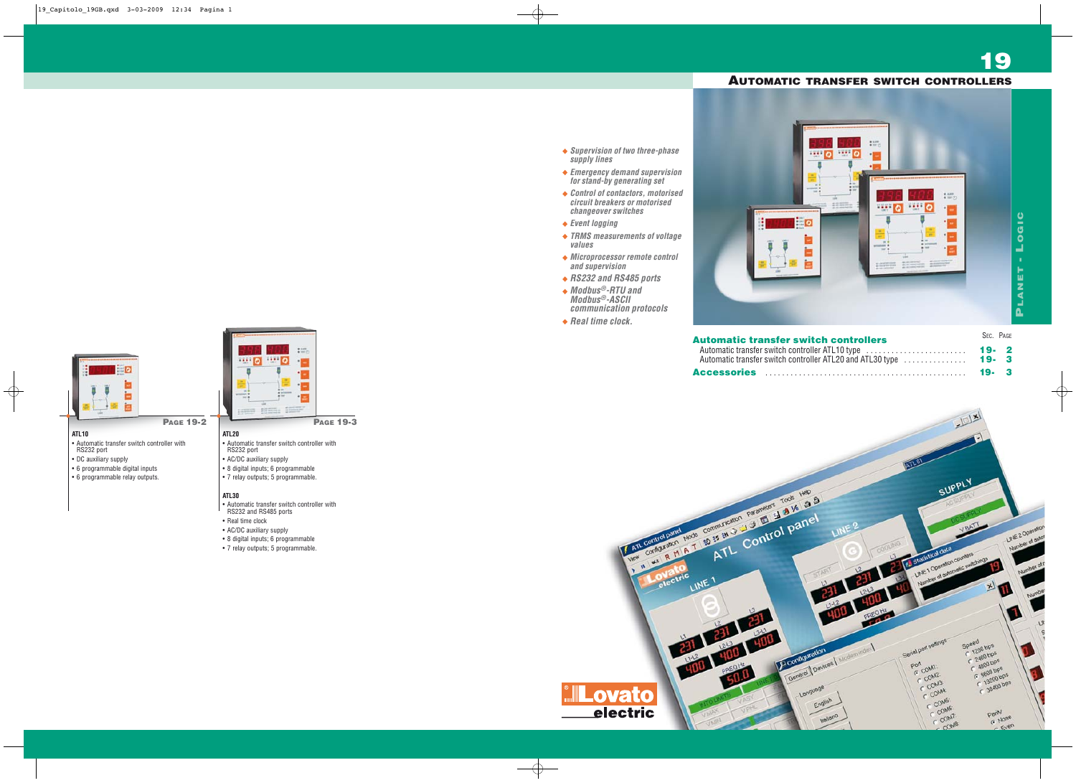#### **ATL10**

- Automatic transfer switch controller with RS232 port
- DC auxiliary supply
- 6 programmable digital inputs
- 6 programmable relay outputs.

### **PAGE 19-2 ATL20**

- Automatic transfer switch controller with RS232 port
- AC/DC auxiliary supply
- 8 digital inputs; 6 programmable
- 7 relay outputs; 5 programmable.

#### **ATL30**

- Automatic transfer switch controller with
- RS232 and RS485 ports
- Real time clock
- AC/DC auxiliary supply
- 8 digital inputs; 6 programmable
- 7 relay outputs; 5 programmable.

**PAGE 19-3**

 $... 0$ 

 $\cdots$  0

**19**

| <b>Automatic transfer switch controllers</b>                                                                 | SEC. PAGE    |  |
|--------------------------------------------------------------------------------------------------------------|--------------|--|
| Automatic transfer switch controller ATL10 type<br>Automatic transfer switch controller ATL20 and ATL30 type | 19.2<br>19.3 |  |
|                                                                                                              | 19.3         |  |

- **Supervision of two three-phase supply lines**
- **Emergency demand supervision for stand-by generating set**
- **Control of contactors, motorised circuit breakers or motorised changeover switches**
- **Event logging**
- **TRMS measurements of voltage values**
- **Microprocessor remote control and supervision**
- **RS232 and RS485 ports**
- **Modbus®-RTU and Modbus®-ASCII communication protocols**
- **Real time clock.**



## **Automatic transfer s** Automatic transfer switch con Automatic transfer switch contained **ATL20**







| 1887<br>o                                 | <b>FEE</b>                                                  | * 6.997<br>* 107 (2)                                               |                                                                                                                                        |                    |  |
|-------------------------------------------|-------------------------------------------------------------|--------------------------------------------------------------------|----------------------------------------------------------------------------------------------------------------------------------------|--------------------|--|
|                                           | ٠                                                           |                                                                    |                                                                                                                                        |                    |  |
| ٠<br>45<br>m<br>世界<br>promised #<br>100.8 | $\bullet$<br>$*100$<br>$+100$                               |                                                                    |                                                                                                                                        |                    |  |
| 198<br>$-0.00$<br>--<br>٠                 | <b>ALCOHOL:</b><br>about successives.<br>about possibility. | $\frac{1}{2}$<br>ο                                                 | 1687<br>ø                                                                                                                              | 4.113<br>● 107 (2) |  |
| <br><u>  c</u>                            |                                                             |                                                                    |                                                                                                                                        | ٠                  |  |
|                                           |                                                             | ×<br>m<br>$\overline{\phantom{a}}$<br>- +                          | ٠<br>÷<br>* 10                                                                                                                         |                    |  |
|                                           |                                                             | <b>ACCOMMEND</b><br>tor &<br>10E                                   | <b>&amp; screened</b><br>$+100$                                                                                                        | ۰                  |  |
|                                           |                                                             | at circumstage<br><b>WE THEN THE STATE</b><br><b>ARTIST AVENUE</b> | - all countries of the<br><b>MOUNTAIN</b><br>49 YEAR WAS THE R. P. LEWIS CO., LANSING MICH.<br>and processes they<br>as as complete by |                    |  |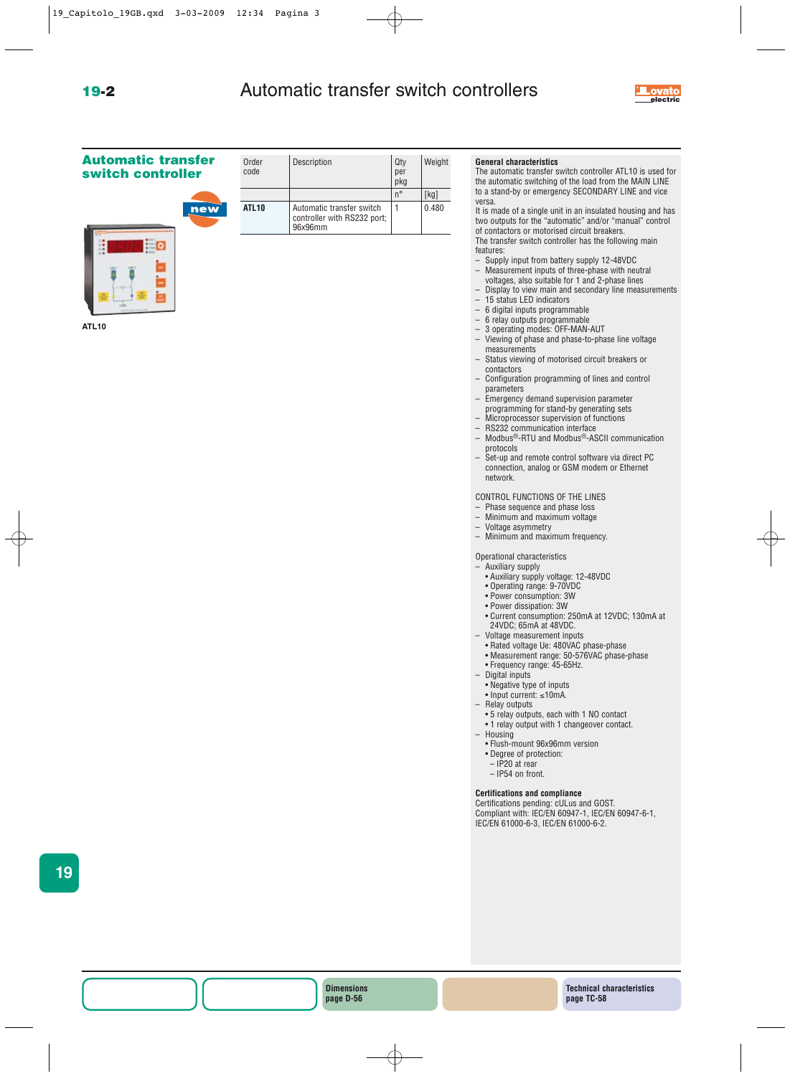# **19-2** Automatic transfer switch controllers



## **Automatic transfer switch controller**



| Order<br>code | Description                                                         | Qty<br>per<br>pkg | Weight |
|---------------|---------------------------------------------------------------------|-------------------|--------|
|               |                                                                     | $n^{\circ}$       | [kg]   |
| ATL10         | Automatic transfer switch<br>controller with RS232 port;<br>96x96mm |                   | 0.480  |

#### **General characteristics**

The automatic transfer switch controller ATL10 is used for the automatic switching of the load from the MAIN LINE to a stand-by or emergency SECONDARY LINE and vice versa.

It is made of a single unit in an insulated housing and has two outputs for the "automatic" and/or "manual" control

of contactors or motorised circuit breakers. The transfer switch controller has the following main features:

- Supply input from battery supply 12-48VDC
- Measurement inputs of three-phase with neutral voltages, also suitable for 1 and 2-phase lines
- Display to view main and secondary line measurements
- 15 status LED indicators
- 6 digital inputs programmable
- 6 relay outputs programmable
- 3 operating modes: OFF-MAN-AUT
- Viewing of phase and phase-to-phase line voltage measurements
- Status viewing of motorised circuit breakers or contactors
- Configuration programming of lines and control parameters
- Emergency demand supervision parameter programming for stand-by generating sets
- Microprocessor supervision of functions
- RS232 communication interface
- Modbus®-RTU and Modbus®-ASCII communication protocols
- Set-up and remote control software via direct PC connection, analog or GSM modem or Ethernet network.

CONTROL FUNCTIONS OF THE LINES

- Phase sequence and phase loss
- Minimum and maximum voltage
- Voltage asymmetry
- Minimum and maximum frequency.

Operational characteristics

- Auxiliary supply
- Auxiliary supply voltage: 12-48VDC
- Operating range: 9-70VDC
- Power consumption: 3W
- Power dissipation: 3W
- Current consumption: 250mA at 12VDC; 130mA at
- 24VDC; 65mA at 48VDC.
- Voltage measurement inputs
- Rated voltage Ue: 480VAC phase-phase
- Measurement range: 50-576VAC phase-phase • Frequency range: 45-65Hz.
- Digital inputs
- Negative type of inputs
- Input current: ≤10mA.
- Relay outputs
- 5 relay outputs, each with 1 NO contact
- 1 relay output with 1 changeover contact. – Housing
	- Flush-mount 96x96mm version
	- Degree of protection:
	- IP20 at rear
	- IP54 on front.

#### **Certifications and compliance**

Certifications pending: cULus and GOST. Compliant with: IEC/EN 60947-1, IEC/EN 60947-6-1, IEC/EN 61000-6-3, IEC/EN 61000-6-2.

**19**

**Dimensions page D-56**